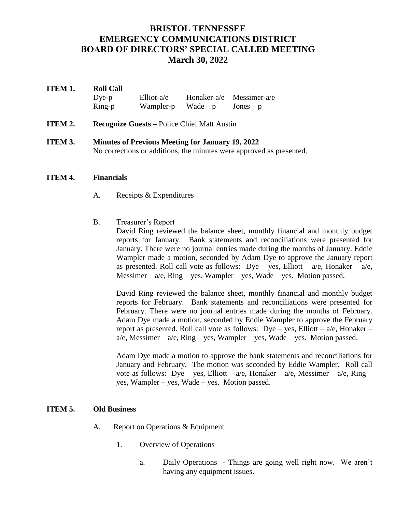# **BRISTOL TENNESSEE EMERGENCY COMMUNICATIONS DISTRICT BOARD OF DIRECTORS' SPECIAL CALLED MEETING March 30, 2022**

## **ITEM 1. Roll Call** Dye-p Elliot-a/e Honaker-a/e Messimer-a/e  $Ring-p$  Wampler-p Wade – p Jones – p

- **ITEM 2. Recognize Guests Police Chief Matt Austin**
- **ITEM 3. Minutes of Previous Meeting for January 19, 2022** No corrections or additions, the minutes were approved as presented.

### **ITEM 4. Financials**

- A. Receipts & Expenditures
- B. Treasurer's Report David Ring reviewed the balance sheet, monthly financial and monthly budget reports for January. Bank statements and reconciliations were presented for January. There were no journal entries made during the months of January. Eddie Wampler made a motion, seconded by Adam Dye to approve the January report as presented. Roll call vote as follows: Dye – yes, Elliott –  $a/e$ , Honaker –  $a/e$ , Messimer –  $a/e$ , Ring – yes, Wampler – yes, Wade – yes. Motion passed.

David Ring reviewed the balance sheet, monthly financial and monthly budget reports for February. Bank statements and reconciliations were presented for February. There were no journal entries made during the months of February. Adam Dye made a motion, seconded by Eddie Wampler to approve the February report as presented. Roll call vote as follows: Dye – yes, Elliott –  $a/e$ , Honaker –  $a/e$ , Messimer –  $a/e$ , Ring – yes, Wampler – yes, Wade – yes. Motion passed.

Adam Dye made a motion to approve the bank statements and reconciliations for January and February. The motion was seconded by Eddie Wampler. Roll call vote as follows: Dye – yes, Elliott – a/e, Honaker – a/e, Messimer – a/e, Ring – yes, Wampler – yes, Wade – yes. Motion passed.

#### **ITEM 5. Old Business**

- A. Report on Operations & Equipment
	- 1. Overview of Operations
		- a. Daily Operations Things are going well right now. We aren't having any equipment issues.